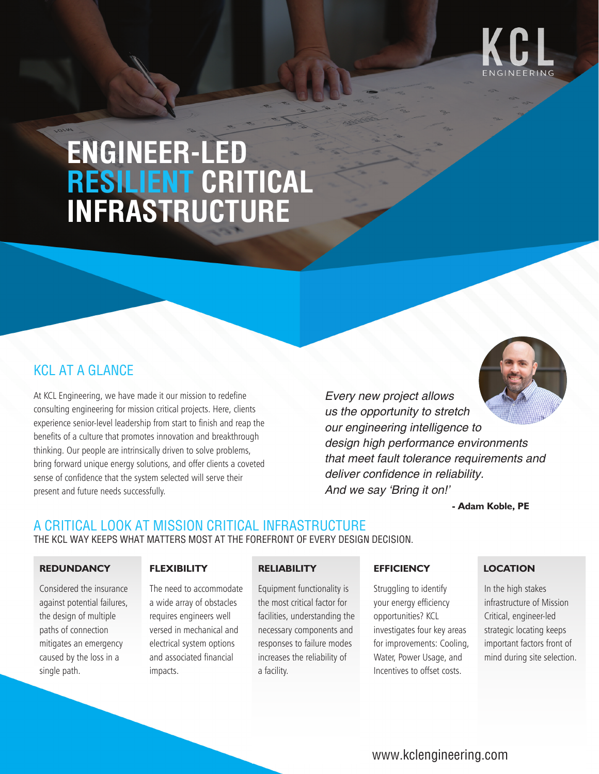

# **ENGINEER-LED RESILIENT CRITICAL INFRASTRUCTURE**

# KCL AT A GLANCE

At KCL Engineering, we have made it our mission to redefine consulting engineering for mission critical projects. Here, clients experience senior-level leadership from start to finish and reap the benefits of a culture that promotes innovation and breakthrough thinking. Our people are intrinsically driven to solve problems, bring forward unique energy solutions, and offer clients a coveted sense of confidence that the system selected will serve their present and future needs successfully.

*Every new project allows us the opportunity to stretch our engineering intelligence to design high performance environments that meet fault tolerance requirements and*  deliver confidence in reliability. *And we say 'Bring it on!'*

**- Adam Koble, PE**

# A CRITICAL LOOK AT MISSION CRITICAL INFRASTRUCTURE

THE KCL WAY KEEPS WHAT MATTERS MOST AT THE FOREFRONT OF EVERY DESIGN DECISION.

#### **REDUNDANCY**

single path.

Considered the insurance against potential failures, the design of multiple paths of connection mitigates an emergency caused by the loss in a

#### **FLEXIBILITY RELIABILITY EFFICIENCY**

The need to accommodate a wide array of obstacles requires engineers well versed in mechanical and electrical system options and associated financial impacts.

Equipment functionality is the most critical factor for facilities, understanding the necessary components and responses to failure modes increases the reliability of a facility.

Struggling to identify your energy efficiency opportunities? KCL investigates four key areas for improvements: Cooling, Water, Power Usage, and Incentives to offset costs.

#### **LOCATION**

In the high stakes infrastructure of Mission Critical, engineer-led strategic locating keeps important factors front of mind during site selection.